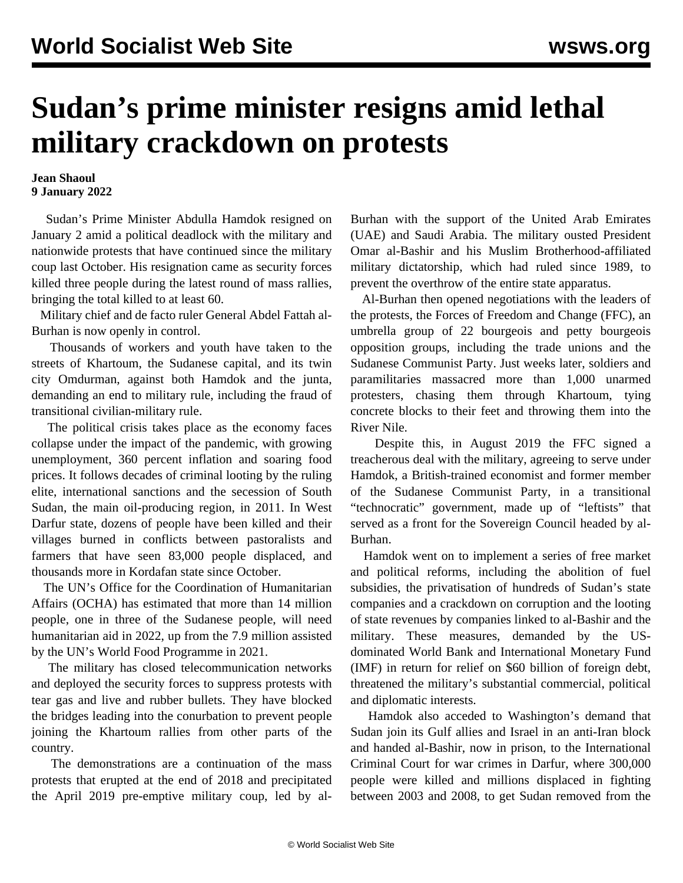## **Sudan's prime minister resigns amid lethal military crackdown on protests**

## **Jean Shaoul 9 January 2022**

 Sudan's Prime Minister Abdulla Hamdok resigned on January 2 amid a political deadlock with the military and nationwide protests that have continued since the military coup last October. His resignation came as security forces killed three people during the latest round of mass rallies, bringing the total killed to at least 60.

 Military chief and de facto ruler General Abdel Fattah al-Burhan is now openly in control.

 Thousands of workers and youth have taken to the streets of Khartoum, the Sudanese capital, and its twin city Omdurman, against both Hamdok and the junta, demanding an end to military rule, including the fraud of transitional civilian-military rule.

 The political crisis takes place as the economy faces collapse under the impact of the pandemic, with growing unemployment, 360 percent inflation and soaring food prices. It follows decades of criminal looting by the ruling elite, international sanctions and the secession of South Sudan, the main oil-producing region, in 2011. In West Darfur state, dozens of people have been killed and their villages burned in conflicts between pastoralists and farmers that have seen 83,000 people displaced, and thousands more in Kordafan state since October.

 The UN's Office for the Coordination of Humanitarian Affairs (OCHA) has estimated that more than 14 million people, one in three of the Sudanese people, will need humanitarian aid in 2022, up from the 7.9 million assisted by the UN's World Food Programme in 2021.

 The military has closed telecommunication networks and deployed the security forces to suppress protests with tear gas and live and rubber bullets. They have blocked the bridges leading into the conurbation to prevent people joining the Khartoum rallies from other parts of the country.

 The demonstrations are a continuation of the mass protests that erupted at the end of 2018 and precipitated the April 2019 pre-emptive military coup, led by alBurhan with the support of the United Arab Emirates (UAE) and Saudi Arabia. The military ousted President Omar al-Bashir and his Muslim Brotherhood-affiliated military dictatorship, which had ruled since 1989, to prevent the overthrow of the entire state apparatus.

 Al-Burhan then opened negotiations with the leaders of the protests, the Forces of Freedom and Change (FFC), an umbrella group of 22 bourgeois and petty bourgeois opposition groups, including the trade unions and the Sudanese Communist Party. Just weeks later, soldiers and paramilitaries massacred more than 1,000 unarmed protesters, chasing them through Khartoum, tying concrete blocks to their feet and throwing them into the River Nile.

 Despite this, in August 2019 the FFC signed a treacherous deal with the military, agreeing to serve under Hamdok, a British-trained economist and former member of the Sudanese Communist Party, in a transitional "technocratic" government, made up of "leftists" that served as a front for the Sovereign Council headed by al-Burhan.

 Hamdok went on to implement a series of free market and political reforms, including the abolition of fuel subsidies, the privatisation of hundreds of Sudan's state companies and a crackdown on corruption and the looting of state revenues by companies linked to al-Bashir and the military. These measures, demanded by the USdominated World Bank and International Monetary Fund (IMF) in return for relief on \$60 billion of foreign debt, threatened the military's substantial commercial, political and diplomatic interests.

 Hamdok also acceded to Washington's demand that Sudan join its Gulf allies and Israel in an anti-Iran block and handed al-Bashir, now in prison, to the International Criminal Court for war crimes in Darfur, where 300,000 people were killed and millions displaced in fighting between 2003 and 2008, to get Sudan removed from the